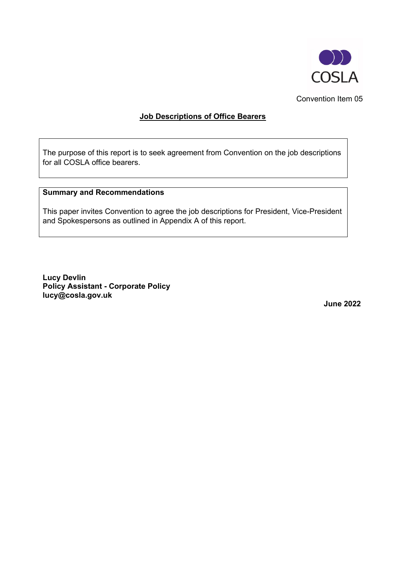

Convention Item 05

### **Job Descriptions of Office Bearers**

The purpose of this report is to seek agreement from Convention on the job descriptions for all COSLA office bearers.

### **Summary and Recommendations**

This paper invites Convention to agree the job descriptions for President, Vice-President and Spokespersons as outlined in Appendix A of this report.

**Lucy Devlin Policy Assistant - Corporate Policy lucy@cosla.gov.uk**

**June 2022**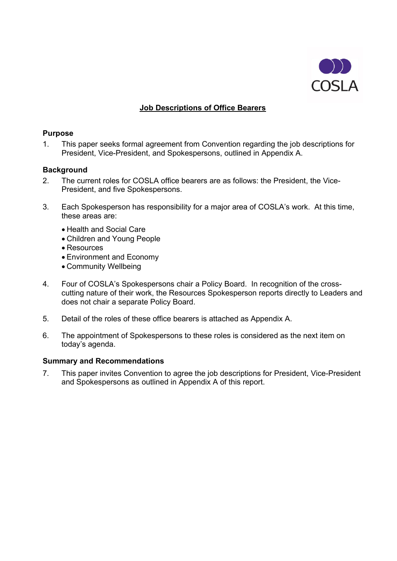

## **Job Descriptions of Office Bearers**

#### **Purpose**

1. This paper seeks formal agreement from Convention regarding the job descriptions for President, Vice-President, and Spokespersons, outlined in Appendix A.

### **Background**

- 2. The current roles for COSLA office bearers are as follows: the President, the Vice-President, and five Spokespersons.
- 3. Each Spokesperson has responsibility for a major area of COSLA's work. At this time, these areas are:
	- Health and Social Care
	- Children and Young People
	- Resources
	- Environment and Economy
	- Community Wellbeing
- 4. Four of COSLA's Spokespersons chair a Policy Board. In recognition of the crosscutting nature of their work, the Resources Spokesperson reports directly to Leaders and does not chair a separate Policy Board.
- 5. Detail of the roles of these office bearers is attached as Appendix A.
- 6. The appointment of Spokespersons to these roles is considered as the next item on today's agenda.

#### **Summary and Recommendations**

7. This paper invites Convention to agree the job descriptions for President, Vice-President and Spokespersons as outlined in Appendix A of this report.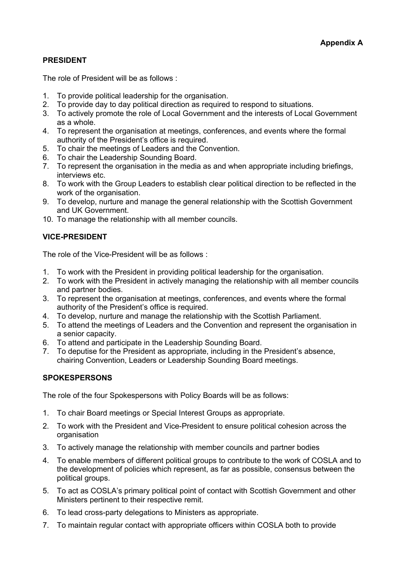# **PRESIDENT**

The role of President will be as follows :

- 1. To provide political leadership for the organisation.
- 2. To provide day to day political direction as required to respond to situations.
- 3. To actively promote the role of Local Government and the interests of Local Government as a whole.
- 4. To represent the organisation at meetings, conferences, and events where the formal authority of the President's office is required.
- 5. To chair the meetings of Leaders and the Convention.
- 6. To chair the Leadership Sounding Board.
- 7. To represent the organisation in the media as and when appropriate including briefings, interviews etc.
- 8. To work with the Group Leaders to establish clear political direction to be reflected in the work of the organisation.
- 9. To develop, nurture and manage the general relationship with the Scottish Government and UK Government.
- 10. To manage the relationship with all member councils.

# **VICE-PRESIDENT**

The role of the Vice-President will be as follows :

- 1. To work with the President in providing political leadership for the organisation.
- 2. To work with the President in actively managing the relationship with all member councils and partner bodies.
- 3. To represent the organisation at meetings, conferences, and events where the formal authority of the President's office is required.
- 4. To develop, nurture and manage the relationship with the Scottish Parliament.
- 5. To attend the meetings of Leaders and the Convention and represent the organisation in a senior capacity.
- 6. To attend and participate in the Leadership Sounding Board.
- 7. To deputise for the President as appropriate, including in the President's absence, chairing Convention, Leaders or Leadership Sounding Board meetings.

### **SPOKESPERSONS**

The role of the four Spokespersons with Policy Boards will be as follows:

- 1. To chair Board meetings or Special Interest Groups as appropriate.
- 2. To work with the President and Vice-President to ensure political cohesion across the organisation
- 3. To actively manage the relationship with member councils and partner bodies
- 4. To enable members of different political groups to contribute to the work of COSLA and to the development of policies which represent, as far as possible, consensus between the political groups.
- 5. To act as COSLA's primary political point of contact with Scottish Government and other Ministers pertinent to their respective remit.
- 6. To lead cross-party delegations to Ministers as appropriate.
- 7. To maintain regular contact with appropriate officers within COSLA both to provide